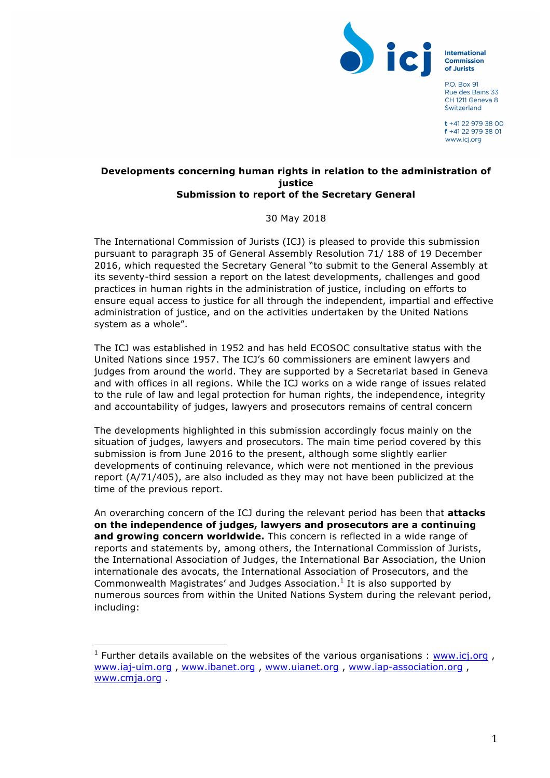

**International Commission** of Jurists

**PO Box 91** Rue des Bains 33 CH 1211 Geneva 8 Switzerland

 $t + 41$  22 979 38 00 f +41 22 979 38 01 www.icj.org

## **Developments concerning human rights in relation to the administration of justice Submission to report of the Secretary General**

30 May 2018

The International Commission of Jurists (ICJ) is pleased to provide this submission pursuant to paragraph 35 of General Assembly Resolution 71/ 188 of 19 December 2016, which requested the Secretary General "to submit to the General Assembly at its seventy-third session a report on the latest developments, challenges and good practices in human rights in the administration of justice, including on efforts to ensure equal access to justice for all through the independent, impartial and effective administration of justice, and on the activities undertaken by the United Nations system as a whole".

The ICJ was established in 1952 and has held ECOSOC consultative status with the United Nations since 1957. The ICJ's 60 commissioners are eminent lawyers and judges from around the world. They are supported by a Secretariat based in Geneva and with offices in all regions. While the ICJ works on a wide range of issues related to the rule of law and legal protection for human rights, the independence, integrity and accountability of judges, lawyers and prosecutors remains of central concern

The developments highlighted in this submission accordingly focus mainly on the situation of judges, lawyers and prosecutors. The main time period covered by this submission is from June 2016 to the present, although some slightly earlier developments of continuing relevance, which were not mentioned in the previous report (A/71/405), are also included as they may not have been publicized at the time of the previous report.

An overarching concern of the ICJ during the relevant period has been that **attacks on the independence of judges, lawyers and prosecutors are a continuing and growing concern worldwide.** This concern is reflected in a wide range of reports and statements by, among others, the International Commission of Jurists, the International Association of Judges, the International Bar Association, the Union internationale des avocats, the International Association of Prosecutors, and the Commonwealth Magistrates' and Judges Association.<sup>1</sup> It is also supported by numerous sources from within the United Nations System during the relevant period, including:

 

<sup>&</sup>lt;sup>1</sup> Further details available on the websites of the various organisations : www.icj.org, www.iaj-uim.org , www.ibanet.org , www.uianet.org , www.iap-association.org , www.cmja.org .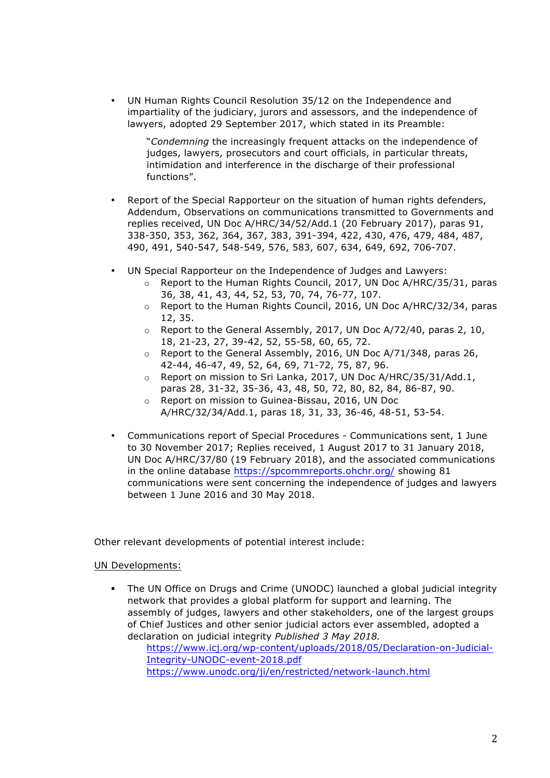• UN Human Rights Council Resolution 35/12 on the Independence and impartiality of the judiciary, jurors and assessors, and the independence of lawyers, adopted 29 September 2017, which stated in its Preamble:

"*Condemning* the increasingly frequent attacks on the independence of judges, lawyers, prosecutors and court officials, in particular threats, intimidation and interference in the discharge of their professional functions".

- Report of the Special Rapporteur on the situation of human rights defenders, Addendum, Observations on communications transmitted to Governments and replies received, UN Doc A/HRC/34/52/Add.1 (20 February 2017), paras 91, 338-350, 353, 362, 364, 367, 383, 391-394, 422, 430, 476, 479, 484, 487, 490, 491, 540-547, 548-549, 576, 583, 607, 634, 649, 692, 706-707.
- UN Special Rapporteur on the Independence of Judges and Lawyers:
	- $\circ$  Report to the Human Rights Council, 2017, UN Doc A/HRC/35/31, paras 36, 38, 41, 43, 44, 52, 53, 70, 74, 76-77, 107.
	- $\circ$  Report to the Human Rights Council, 2016, UN Doc A/HRC/32/34, paras 12, 35.
	- o Report to the General Assembly, 2017, UN Doc A/72/40, paras 2, 10, 18, 21-23, 27, 39-42, 52, 55-58, 60, 65, 72.
	- o Report to the General Assembly, 2016, UN Doc A/71/348, paras 26, 42-44, 46-47, 49, 52, 64, 69, 71-72, 75, 87, 96.
	- o Report on mission to Sri Lanka, 2017, UN Doc A/HRC/35/31/Add.1, paras 28, 31-32, 35-36, 43, 48, 50, 72, 80, 82, 84, 86-87, 90.
	- o Report on mission to Guinea-Bissau, 2016, UN Doc A/HRC/32/34/Add.1, paras 18, 31, 33, 36-46, 48-51, 53-54.
- Communications report of Special Procedures Communications sent, 1 June to 30 November 2017; Replies received, 1 August 2017 to 31 January 2018, UN Doc A/HRC/37/80 (19 February 2018), and the associated communications in the online database https://spcommreports.ohchr.org/ showing 81 communications were sent concerning the independence of judges and lawyers between 1 June 2016 and 30 May 2018.

Other relevant developments of potential interest include:

## UN Developments:

The UN Office on Drugs and Crime (UNODC) launched a global judicial integrity network that provides a global platform for support and learning. The assembly of judges, lawyers and other stakeholders, one of the largest groups of Chief Justices and other senior judicial actors ever assembled, adopted a declaration on judicial integrity *Published 3 May 2018.*

https://www.icj.org/wp-content/uploads/2018/05/Declaration-on-Judicial-Integrity-UNODC-event-2018.pdf https://www.unodc.org/ji/en/restricted/network-launch.html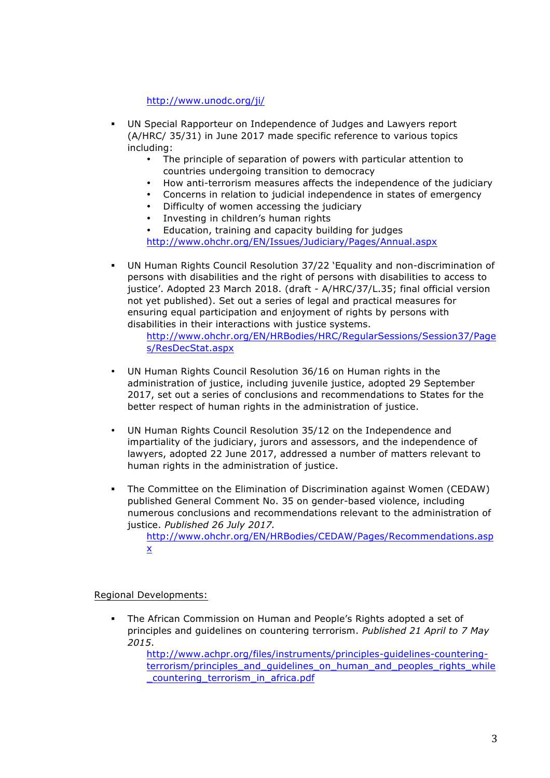http://www.unodc.org/ji/

- § UN Special Rapporteur on Independence of Judges and Lawyers report (A/HRC/ 35/31) in June 2017 made specific reference to various topics including:
	- The principle of separation of powers with particular attention to countries undergoing transition to democracy
	- How anti-terrorism measures affects the independence of the judiciary
	- Concerns in relation to judicial independence in states of emergency
	- Difficulty of women accessing the judiciary
	- Investing in children's human rights

• Education, training and capacity building for judges http://www.ohchr.org/EN/Issues/Judiciary/Pages/Annual.aspx

§ UN Human Rights Council Resolution 37/22 'Equality and non-discrimination of persons with disabilities and the right of persons with disabilities to access to justice'. Adopted 23 March 2018. (draft - A/HRC/37/L.35; final official version not yet published). Set out a series of legal and practical measures for ensuring equal participation and enjoyment of rights by persons with disabilities in their interactions with justice systems.

http://www.ohchr.org/EN/HRBodies/HRC/RegularSessions/Session37/Page s/ResDecStat.aspx

- UN Human Rights Council Resolution 36/16 on Human rights in the administration of justice, including juvenile justice, adopted 29 September 2017, set out a series of conclusions and recommendations to States for the better respect of human rights in the administration of justice.
- UN Human Rights Council Resolution 35/12 on the Independence and impartiality of the judiciary, jurors and assessors, and the independence of lawyers, adopted 22 June 2017, addressed a number of matters relevant to human rights in the administration of justice.
- § The Committee on the Elimination of Discrimination against Women (CEDAW) published General Comment No. 35 on gender-based violence, including numerous conclusions and recommendations relevant to the administration of justice. *Published 26 July 2017.*

http://www.ohchr.org/EN/HRBodies/CEDAW/Pages/Recommendations.asp x

Regional Developments:

§ The African Commission on Human and People's Rights adopted a set of principles and guidelines on countering terrorism. *Published 21 April to 7 May 2015*.

http://www.achpr.org/files/instruments/principles-guidelines-counteringterrorism/principles\_and\_quidelines\_on\_human\_and\_peoples\_rights\_while \_countering\_terrorism\_in\_africa.pdf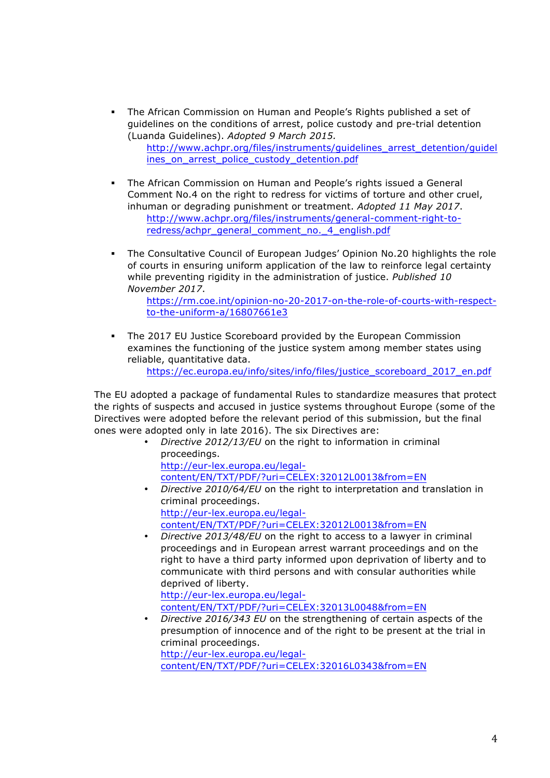§ The African Commission on Human and People's Rights published a set of guidelines on the conditions of arrest, police custody and pre-trial detention (Luanda Guidelines). *Adopted 9 March 2015.*

http://www.achpr.org/files/instruments/guidelines\_arrest\_detention/guidel ines\_on\_arrest\_police\_custody\_detention.pdf

- § The African Commission on Human and People's rights issued a General Comment No.4 on the right to redress for victims of torture and other cruel, inhuman or degrading punishment or treatment. *Adopted 11 May 2017*. http://www.achpr.org/files/instruments/general-comment-right-toredress/achpr\_general\_comment\_no.\_4\_english.pdf
- § The Consultative Council of European Judges' Opinion No.20 highlights the role of courts in ensuring uniform application of the law to reinforce legal certainty while preventing rigidity in the administration of justice. *Published 10 November 2017*.

https://rm.coe.int/opinion-no-20-2017-on-the-role-of-courts-with-respectto-the-uniform-a/16807661e3

§ The 2017 EU Justice Scoreboard provided by the European Commission examines the functioning of the justice system among member states using reliable, quantitative data.

https://ec.europa.eu/info/sites/info/files/justice\_scoreboard\_2017\_en.pdf

The EU adopted a package of fundamental Rules to standardize measures that protect the rights of suspects and accused in justice systems throughout Europe (some of the Directives were adopted before the relevant period of this submission, but the final ones were adopted only in late 2016). The six Directives are:

> • *Directive 2012/13/EU* on the right to information in criminal proceedings. http://eur-lex.europa.eu/legal-

content/EN/TXT/PDF/?uri=CELEX:32012L0013&from=EN

- *Directive 2010/64/EU* on the right to interpretation and translation in criminal proceedings. http://eur-lex.europa.eu/legalcontent/EN/TXT/PDF/?uri=CELEX:32012L0013&from=EN
- *Directive 2013/48/EU* on the right to access to a lawyer in criminal proceedings and in European arrest warrant proceedings and on the right to have a third party informed upon deprivation of liberty and to communicate with third persons and with consular authorities while deprived of liberty.

http://eur-lex.europa.eu/legalcontent/EN/TXT/PDF/?uri=CELEX:32013L0048&from=EN

• *Directive 2016/343 EU* on the strengthening of certain aspects of the presumption of innocence and of the right to be present at the trial in criminal proceedings. http://eur-lex.europa.eu/legal-

content/EN/TXT/PDF/?uri=CELEX:32016L0343&from=EN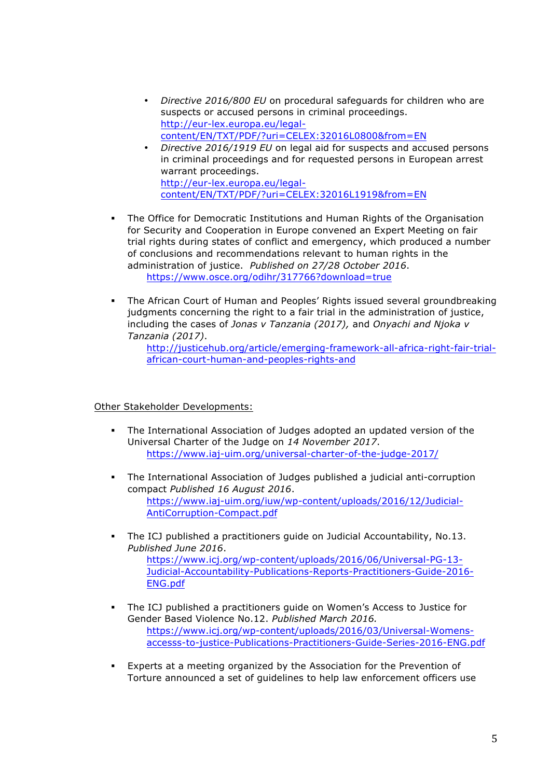- *Directive 2016/800 EU* on procedural safeguards for children who are suspects or accused persons in criminal proceedings. http://eur-lex.europa.eu/legalcontent/EN/TXT/PDF/?uri=CELEX:32016L0800&from=EN
- *Directive 2016/1919 EU* on legal aid for suspects and accused persons in criminal proceedings and for requested persons in European arrest warrant proceedings. http://eur-lex.europa.eu/legalcontent/EN/TXT/PDF/?uri=CELEX:32016L1919&from=EN
- § The Office for Democratic Institutions and Human Rights of the Organisation for Security and Cooperation in Europe convened an Expert Meeting on fair trial rights during states of conflict and emergency, which produced a number of conclusions and recommendations relevant to human rights in the administration of justice. *Published on 27/28 October 2016*. https://www.osce.org/odihr/317766?download=true
- § The African Court of Human and Peoples' Rights issued several groundbreaking judgments concerning the right to a fair trial in the administration of justice, including the cases of *Jonas v Tanzania (2017),* and *Onyachi and Njoka v Tanzania (2017)*.

http://justicehub.org/article/emerging-framework-all-africa-right-fair-trialafrican-court-human-and-peoples-rights-and

## Other Stakeholder Developments:

- § The International Association of Judges adopted an updated version of the Universal Charter of the Judge on *14 November 2017*. https://www.iaj-uim.org/universal-charter-of-the-judge-2017/
- § The International Association of Judges published a judicial anti-corruption compact *Published 16 August 2016*. https://www.iaj-uim.org/iuw/wp-content/uploads/2016/12/Judicial-AntiCorruption-Compact.pdf
- § The ICJ published a practitioners guide on Judicial Accountability, No.13. *Published June 2016*. https://www.icj.org/wp-content/uploads/2016/06/Universal-PG-13-

Judicial-Accountability-Publications-Reports-Practitioners-Guide-2016- ENG.pdf

- § The ICJ published a practitioners guide on Women's Access to Justice for Gender Based Violence No.12. *Published March 2016.* https://www.icj.org/wp-content/uploads/2016/03/Universal-Womensaccesss-to-justice-Publications-Practitioners-Guide-Series-2016-ENG.pdf
- § Experts at a meeting organized by the Association for the Prevention of Torture announced a set of guidelines to help law enforcement officers use